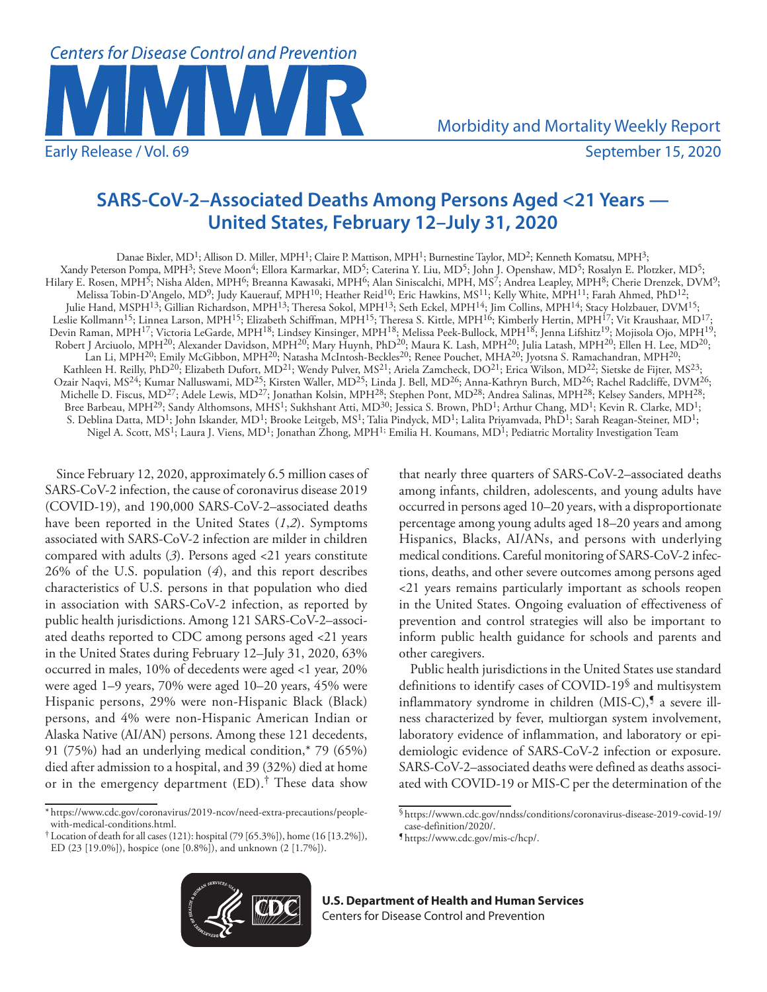

Morbidity and Mortality Weekly Report

# **SARS-CoV-2–Associated Deaths Among Persons Aged <21 Years — United States, February 12–July 31, 2020**

Danae Bixler, MD<sup>1</sup>; Allison D. Miller, MPH<sup>1</sup>; Claire P. Mattison, MPH<sup>1</sup>; Burnestine Taylor, MD<sup>2</sup>; Kenneth Komatsu, MPH<sup>3</sup>; Xandy Peterson Pompa, MPH3; Steve Moon4; Ellora Karmarkar, MD5; Caterina Y. Liu, MD5; John J. Openshaw, MD5; Rosalyn E. Plotzker, MD5; Hilary E. Rosen, MPH<sup>5</sup>; Nisha Alden, MPH<sup>6</sup>; Breanna Kawasaki, MPH<sup>6</sup>; Alan Siniscalchi, MPH, MS<sup>7</sup>; Andrea Leapley, MPH<sup>8</sup>; Cherie Drenzek, DVM<sup>9</sup>; Melissa Tobin-D'Angelo, MD9; Judy Kauerauf, MPH10; Heather Reid10; Eric Hawkins, MS11; Kelly White, MPH11; Farah Ahmed, PhD12; Julie Hand, MSPH<sup>13</sup>; Gillian Richardson, MPH<sup>13</sup>; Theresa Sokol, MPH<sup>13</sup>; Seth Eckel, MPH<sup>14</sup>; Jim Collins, MPH<sup>14</sup>; Stacy Holzbauer, DVM<sup>15</sup>; Leslie Kollmann<sup>15</sup>; Linnea Larson, MPH<sup>15</sup>; Elizabeth Schiffman, MPH<sup>15</sup>; Theresa S. Kittle, MPH<sup>16</sup>; Kimberly Hertin, MPH<sup>17</sup>; Vit Kraushaar, MD<sup>17</sup>; Devin Raman, MPH<sup>17</sup>; Victoria LeGarde, MPH<sup>18</sup>; Lindsey Kinsinger, MPH<sup>18</sup>; Melissa Peek-Bullock, MPH<sup>18</sup>; Jenna Lifshitz<sup>19</sup>; Mojisola Ojo, MPH<sup>19</sup>; Robert J Arciuolo, MPH<sup>20</sup>; Alexander Davidson, MPH<sup>20</sup>; Mary Huynh, PhD<sup>20</sup>; Maura K. Lash, MPH<sup>20</sup>; Julia Latash, MPH<sup>20</sup>; Ellen H. Lee, MD<sup>20</sup>; Lan Li, MPH<sup>20</sup>; Emily McGibbon, MPH<sup>20</sup>; Natasha McIntosh-Beckles<sup>20</sup>; Renee Pouchet, MHA<sup>20</sup>; Jyotsna S. Ramachandran, MPH<sup>20</sup>; Kathleen H. Reilly, PhD<sup>20</sup>; Elizabeth Dufort, MD<sup>21</sup>; Wendy Pulver, MS<sup>21</sup>; Ariela Zamcheck, DO<sup>21</sup>; Erica Wilson, MD<sup>22</sup>; Sietske de Fijter, MS<sup>23</sup>; Ozair Naqvi, MS24; Kumar Nalluswami, MD25; Kirsten Waller, MD25; Linda J. Bell, MD26; Anna-Kathryn Burch, MD26; Rachel Radcliffe, DVM26; Michelle D. Fiscus, MD<sup>27</sup>; Adele Lewis, MD<sup>27</sup>; Jonathan Kolsin, MPH<sup>28</sup>; Stephen Pont, MD<sup>28</sup>; Andrea Salinas, MPH<sup>28</sup>; Kelsey Sanders, MPH<sup>28</sup>; Bree Barbeau, MPH<sup>29</sup>; Sandy Althomsons, MHS<sup>1</sup>; Sukhshant Atti, MD<sup>30</sup>; Jessica S. Brown, PhD<sup>1</sup>; Arthur Chang, MD<sup>1</sup>; Kevin R. Clarke, MD<sup>1</sup>; S. Deblina Datta, MD<sup>1</sup>; John Iskander, MD<sup>1</sup>; Brooke Leitgeb, MS<sup>1</sup>; Talia Pindyck, MD<sup>1</sup>; Lalita Priyamvada, PhD<sup>1</sup>; Sarah Reagan-Steiner, MD<sup>1</sup>; Nigel A. Scott, MS<sup>1</sup>; Laura J. Viens, MD<sup>1</sup>; Jonathan Žhong, MPH<sup>1;</sup> Emilia H. Koumans, MD<sup>1</sup>; Pediatric Mortality Investigation Team

Since February 12, 2020, approximately 6.5 million cases of SARS-CoV-2 infection, the cause of coronavirus disease 2019 (COVID-19), and 190,000 SARS-CoV-2–associated deaths have been reported in the United States (*1*,*2*). Symptoms associated with SARS-CoV-2 infection are milder in children compared with adults (*3*). Persons aged <21 years constitute 26% of the U.S. population (*4*), and this report describes characteristics of U.S. persons in that population who died in association with SARS-CoV-2 infection, as reported by public health jurisdictions. Among 121 SARS-CoV-2–associated deaths reported to CDC among persons aged <21 years in the United States during February 12–July 31, 2020, 63% occurred in males, 10% of decedents were aged <1 year, 20% were aged 1–9 years, 70% were aged 10–20 years, 45% were Hispanic persons, 29% were non-Hispanic Black (Black) persons, and 4% were non-Hispanic American Indian or Alaska Native (AI/AN) persons. Among these 121 decedents, 91 (75%) had an underlying medical condition,\* 79 (65%) died after admission to a hospital, and 39 (32%) died at home or in the emergency department (ED).† These data show

that nearly three quarters of SARS-CoV-2–associated deaths among infants, children, adolescents, and young adults have occurred in persons aged 10–20 years, with a disproportionate percentage among young adults aged 18–20 years and among Hispanics, Blacks, AI/ANs, and persons with underlying medical conditions. Careful monitoring of SARS-CoV-2 infections, deaths, and other severe outcomes among persons aged <21 years remains particularly important as schools reopen in the United States. Ongoing evaluation of effectiveness of prevention and control strategies will also be important to inform public health guidance for schools and parents and other caregivers.

Public health jurisdictions in the United States use standard definitions to identify cases of COVID-19§ and multisystem inflammatory syndrome in children (MIS-C),<sup>5</sup> a severe illness characterized by fever, multiorgan system involvement, laboratory evidence of inflammation, and laboratory or epidemiologic evidence of SARS-CoV-2 infection or exposure. SARS-CoV-2–associated deaths were defined as deaths associated with COVID-19 or MIS-C per the determination of the



<sup>\*</sup> [https://www.cdc.gov/coronavirus/2019-ncov/need-extra-precautions/people-](https://www.cdc.gov/coronavirus/2019-ncov/need-extra-precautions/people-with-medical-conditions.html)

 $\dagger$  Location of death for all cases (121): hospital (79 [65.3%]), home (16 [13.2%]), ED (23 [19.0%]), hospice (one [0.8%]), and unknown (2 [1.7%]).

<sup>§</sup>[https://wwwn.cdc.gov/nndss/conditions/coronavirus-disease-2019-covid-19/](https://wwwn.cdc.gov/nndss/conditions/coronavirus-disease-2019-covid-19/case-definition/2020/)

[case-definition/2020/.](https://wwwn.cdc.gov/nndss/conditions/coronavirus-disease-2019-covid-19/case-definition/2020/) ¶ [https://www.cdc.gov/mis-c/hcp/.](https://www.cdc.gov/mis-c/hcp/)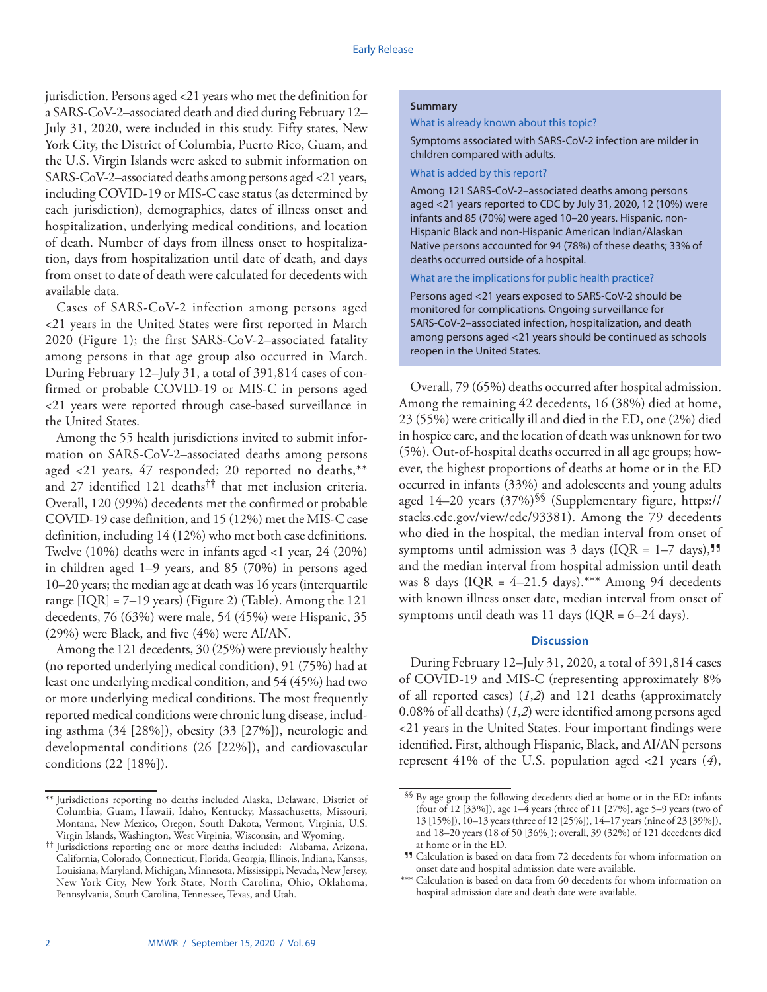jurisdiction. Persons aged <21 years who met the definition for a SARS-CoV-2–associated death and died during February 12– July 31, 2020, were included in this study. Fifty states, New York City, the District of Columbia, Puerto Rico, Guam, and the U.S. Virgin Islands were asked to submit information on SARS-CoV-2–associated deaths among persons aged <21 years, including COVID-19 or MIS-C case status (as determined by each jurisdiction), demographics, dates of illness onset and hospitalization, underlying medical conditions, and location of death. Number of days from illness onset to hospitalization, days from hospitalization until date of death, and days from onset to date of death were calculated for decedents with available data.

Cases of SARS-CoV-2 infection among persons aged <21 years in the United States were first reported in March 2020 (Figure 1); the first SARS-CoV-2–associated fatality among persons in that age group also occurred in March. During February 12–July 31, a total of 391,814 cases of confirmed or probable COVID-19 or MIS-C in persons aged <21 years were reported through case-based surveillance in the United States.

Among the 55 health jurisdictions invited to submit information on SARS-CoV-2–associated deaths among persons aged <21 years, 47 responded; 20 reported no deaths,\*\* and 27 identified 121 deaths†† that met inclusion criteria. Overall, 120 (99%) decedents met the confirmed or probable COVID-19 case definition, and 15 (12%) met the MIS-C case definition, including 14 (12%) who met both case definitions. Twelve (10%) deaths were in infants aged <1 year, 24 (20%) in children aged 1–9 years, and 85 (70%) in persons aged 10–20 years; the median age at death was 16 years (interquartile range  $[IQR] = 7-19$  years) (Figure 2) (Table). Among the 121 decedents, 76 (63%) were male, 54 (45%) were Hispanic, 35 (29%) were Black, and five (4%) were AI/AN.

Among the 121 decedents, 30 (25%) were previously healthy (no reported underlying medical condition), 91 (75%) had at least one underlying medical condition, and 54 (45%) had two or more underlying medical conditions. The most frequently reported medical conditions were chronic lung disease, including asthma (34 [28%]), obesity (33 [27%]), neurologic and developmental conditions (26 [22%]), and cardiovascular conditions (22 [18%]).

## **Summary**

What is already known about this topic?

Symptoms associated with SARS-CoV-2 infection are milder in children compared with adults.

## What is added by this report?

Among 121 SARS-CoV-2–associated deaths among persons aged <21 years reported to CDC by July 31, 2020, 12 (10%) were infants and 85 (70%) were aged 10–20 years. Hispanic, non-Hispanic Black and non-Hispanic American Indian/Alaskan Native persons accounted for 94 (78%) of these deaths; 33% of deaths occurred outside of a hospital.

## What are the implications for public health practice?

Persons aged <21 years exposed to SARS-CoV-2 should be monitored for complications. Ongoing surveillance for SARS-CoV-2–associated infection, hospitalization, and death among persons aged <21 years should be continued as schools reopen in the United States.

Overall, 79 (65%) deaths occurred after hospital admission. Among the remaining 42 decedents, 16 (38%) died at home, 23 (55%) were critically ill and died in the ED, one (2%) died in hospice care, and the location of death was unknown for two (5%). Out-of-hospital deaths occurred in all age groups; however, the highest proportions of deaths at home or in the ED occurred in infants (33%) and adolescents and young adults aged 14–20 years (37%)§§ (Supplementary figure, [https://](https://stacks.cdc.gov/view/cdc/93381) [stacks.cdc.gov/view/cdc/93381](https://stacks.cdc.gov/view/cdc/93381)). Among the 79 decedents who died in the hospital, the median interval from onset of symptoms until admission was 3 days (IQR =  $1-7$  days),<sup>99</sup> and the median interval from hospital admission until death was 8 days (IQR =  $4-21.5$  days).\*\*\* Among 94 decedents with known illness onset date, median interval from onset of symptoms until death was 11 days (IQR = 6*–*24 days).

# **Discussion**

During February 12–July 31, 2020, a total of 391,814 cases of COVID-19 and MIS-C (representing approximately 8% of all reported cases) (*1*,*2*) and 121 deaths (approximately 0.08% of all deaths) (*1*,*2*) were identified among persons aged <21 years in the United States. Four important findings were identified. First, although Hispanic, Black, and AI/AN persons represent 41% of the U.S. population aged <21 years (*4*),

<sup>\*\*</sup> Jurisdictions reporting no deaths included Alaska, Delaware, District of Columbia, Guam, Hawaii, Idaho, Kentucky, Massachusetts, Missouri, Montana, New Mexico, Oregon, South Dakota, Vermont, Virginia, U.S. Virgin Islands, Washington, West Virginia, Wisconsin, and Wyoming.

<sup>††</sup> Jurisdictions reporting one or more deaths included: Alabama, Arizona, California, Colorado, Connecticut, Florida, Georgia, Illinois, Indiana, Kansas, Louisiana, Maryland, Michigan, Minnesota, Mississippi, Nevada, New Jersey, New York City, New York State, North Carolina, Ohio, Oklahoma, Pennsylvania, South Carolina, Tennessee, Texas, and Utah.

<sup>§§</sup> By age group the following decedents died at home or in the ED: infants (four of 12 [33%]), age  $1-\overline{4}$  years (three of 11 [27%], age 5-9 years (two of 13 [15%]), 10–13 years (three of 12 [25%]), 14–17 years (nine of 23 [39%]), and 18–20 years (18 of 50 [36%]); overall, 39 (32%) of 121 decedents died at home or in the ED.

<sup>¶¶</sup> Calculation is based on data from 72 decedents for whom information on onset date and hospital admission date were available.

<sup>\*</sup> Calculation is based on data from 60 decedents for whom information on hospital admission date and death date were available.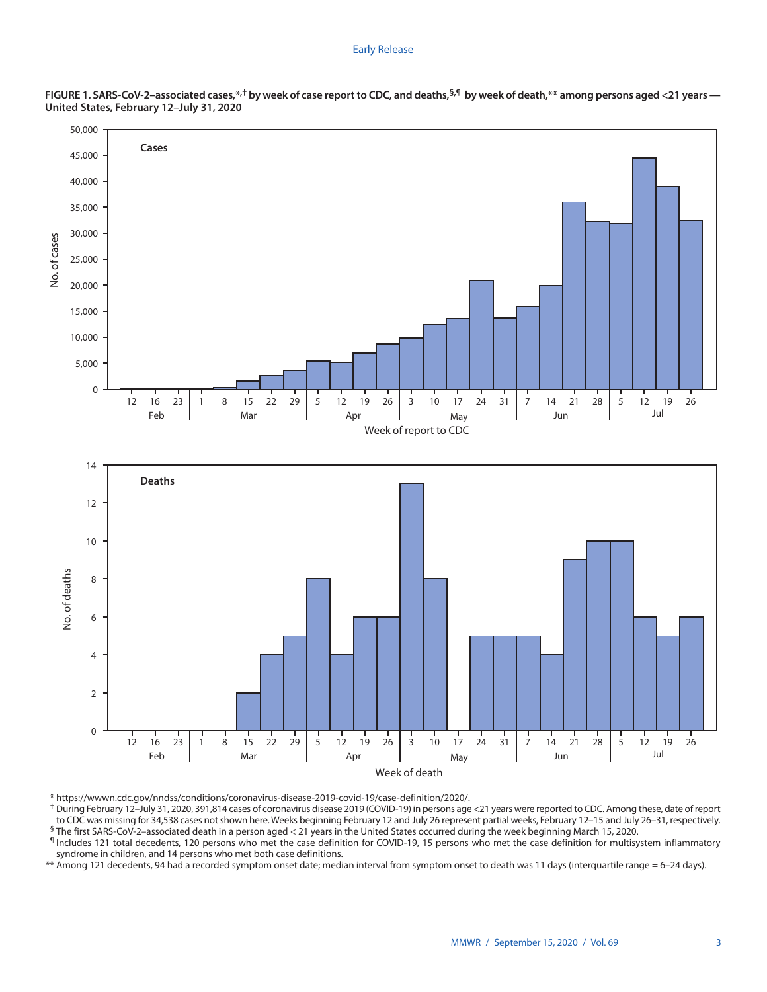#### Early Release





\* [https://wwwn.cdc.gov/nndss/conditions/coronavirus-disease-2019-covid-19/case-definition/2020/.](https://wwwn.cdc.gov/nndss/conditions/coronavirus-disease-2019-covid-19/case-definition/2020/)<br>† During February 12–July 31, 2020, 391,814 cases of coronavirus disease 2019 (COVID-19) in persons age <21 years were report to CDC was missing for 34,538 cases not shown here. Weeks beginning February 12 and July 26 represent partial weeks, February 12–15 and July 26–31, respectively. § The first SARS-CoV-2–associated death in a person aged < 21 years in the United States occurred during the week beginning March 15, 2020.

¶ Includes 121 total decedents, 120 persons who met the case definition for COVID-19, 15 persons who met the case definition for multisystem inflammatory syndrome in children, and 14 persons who met both case definitions.

\*\* Among 121 decedents, 94 had a recorded symptom onset date; median interval from symptom onset to death was 11 days (interquartile range = 6–24 days).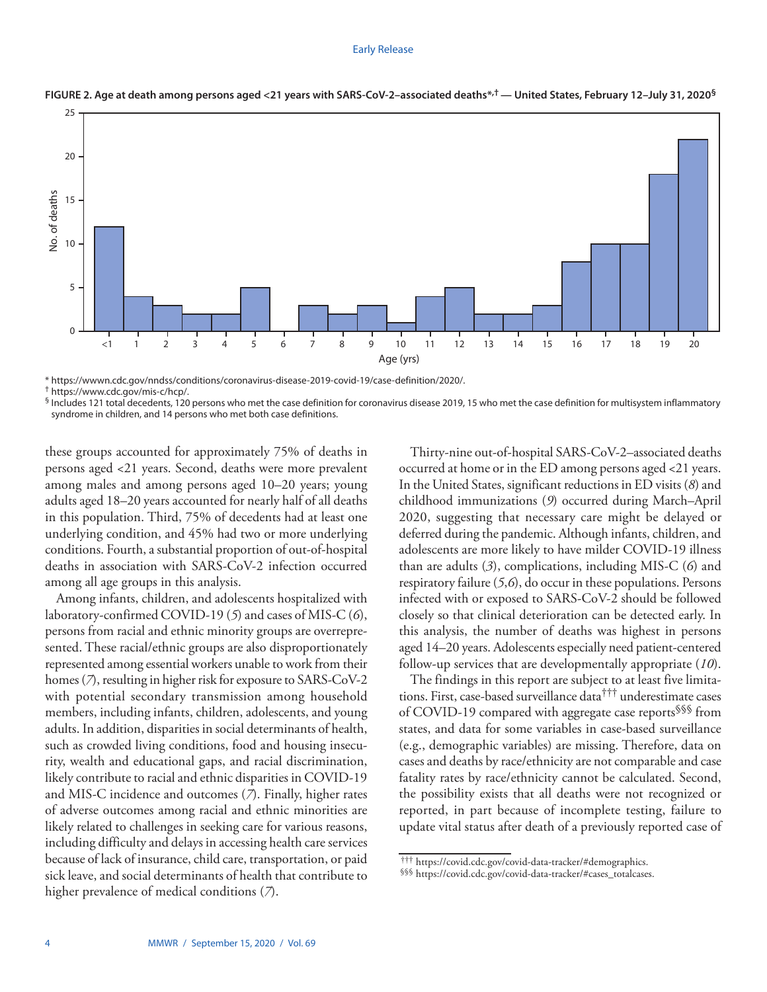#### Early Release



#### **FIGURE 2. Age at death among persons aged <21 years with SARS-CoV-2–associated deaths\*,† — United States, February 12–July 31, 2020§**

\* [https://wwwn.cdc.gov/nndss/conditions/coronavirus-disease-2019-covid-19/case-definition/2020/.](https://wwwn.cdc.gov/nndss/conditions/coronavirus-disease-2019-covid-19/case-definition/2020/)<br>† <https://www.cdc.gov/mis-c/hcp/>.<br>§ Includes 121 total decedents, 120 persons who met the case definition for coronavirus dis syndrome in children, and 14 persons who met both case definitions.

these groups accounted for approximately 75% of deaths in persons aged <21 years. Second, deaths were more prevalent among males and among persons aged 10–20 years; young adults aged 18–20 years accounted for nearly half of all deaths in this population. Third, 75% of decedents had at least one underlying condition, and 45% had two or more underlying conditions. Fourth, a substantial proportion of out-of-hospital deaths in association with SARS-CoV-2 infection occurred among all age groups in this analysis.

Among infants, children, and adolescents hospitalized with laboratory-confirmed COVID-19 (*5*) and cases of MIS-C (*6*), persons from racial and ethnic minority groups are overrepresented. These racial/ethnic groups are also disproportionately represented among essential workers unable to work from their homes (*7*), resulting in higher risk for exposure to SARS-CoV-2 with potential secondary transmission among household members, including infants, children, adolescents, and young adults. In addition, disparities in social determinants of health, such as crowded living conditions, food and housing insecurity, wealth and educational gaps, and racial discrimination, likely contribute to racial and ethnic disparities in COVID-19 and MIS-C incidence and outcomes (*7*). Finally, higher rates of adverse outcomes among racial and ethnic minorities are likely related to challenges in seeking care for various reasons, including difficulty and delays in accessing health care services because of lack of insurance, child care, transportation, or paid sick leave, and social determinants of health that contribute to higher prevalence of medical conditions (*7*).

Thirty-nine out-of-hospital SARS-CoV-2–associated deaths occurred at home or in the ED among persons aged <21 years. In the United States, significant reductions in ED visits (*8*) and childhood immunizations (*9*) occurred during March–April 2020, suggesting that necessary care might be delayed or deferred during the pandemic. Although infants, children, and adolescents are more likely to have milder COVID-19 illness than are adults (*3*), complications, including MIS-C (*6*) and respiratory failure (*5*,*6*), do occur in these populations. Persons infected with or exposed to SARS-CoV-2 should be followed closely so that clinical deterioration can be detected early. In this analysis, the number of deaths was highest in persons aged 14–20 years. Adolescents especially need patient-centered follow-up services that are developmentally appropriate (*10*).

The findings in this report are subject to at least five limitations. First, case-based surveillance data††† underestimate cases of COVID-19 compared with aggregate case reports§§§ from states, and data for some variables in case-based surveillance (e.g., demographic variables) are missing. Therefore, data on cases and deaths by race/ethnicity are not comparable and case fatality rates by race/ethnicity cannot be calculated. Second, the possibility exists that all deaths were not recognized or reported, in part because of incomplete testing, failure to update vital status after death of a previously reported case of

<sup>†††</sup> [https://covid.cdc.gov/covid-data-tracker/#demographics.](https://covid.cdc.gov/covid-data-tracker/#demographics) §§§ [https://covid.cdc.gov/covid-data-tracker/#cases\\_totalcases.](https://covid.cdc.gov/covid-data-tracker/#cases_totalcases)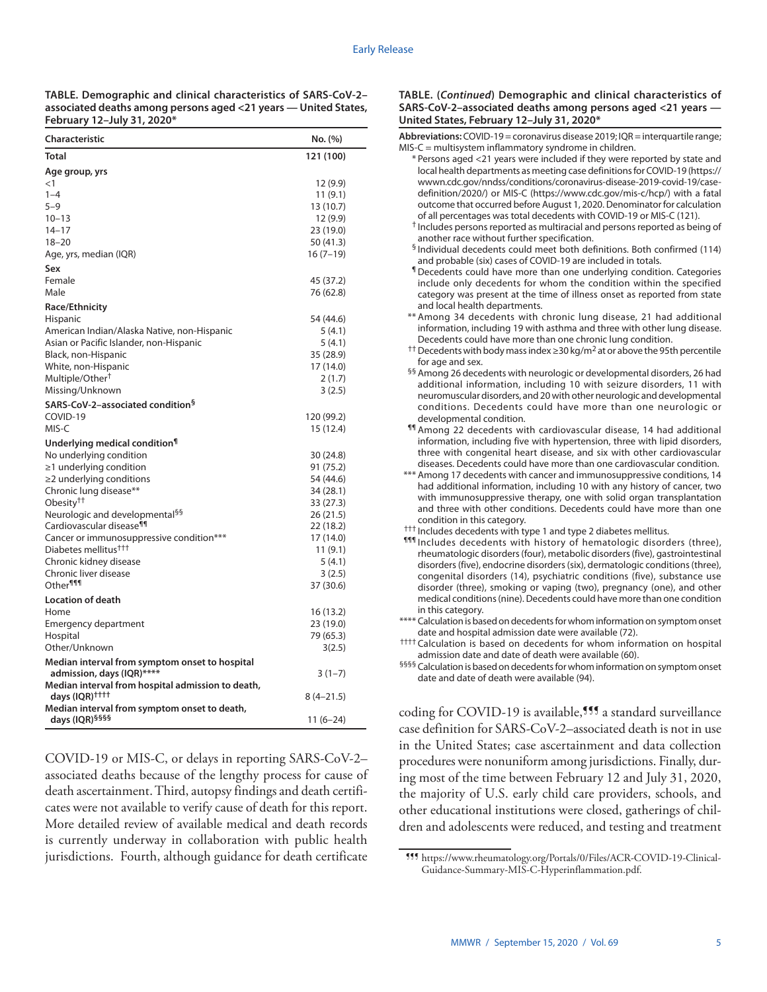**TABLE. Demographic and clinical characteristics of SARS-CoV-2– associated deaths among persons aged <21 years — United States, February 12–July 31, 2020\***

| <b>Characteristic</b>                                                | No. (%)                 |
|----------------------------------------------------------------------|-------------------------|
| <b>Total</b>                                                         | 121 (100)               |
| Age group, yrs                                                       |                         |
| $<$ 1                                                                | 12(9.9)                 |
| $1 - 4$                                                              | 11(9.1)                 |
| $5 - 9$                                                              | 13 (10.7)               |
| $10 - 13$                                                            | 12 (9.9)                |
| $14 - 17$                                                            | 23 (19.0)               |
| $18 - 20$                                                            | 50 (41.3)               |
| Age, yrs, median (IQR)                                               | $16(7-19)$              |
| Sex                                                                  |                         |
| Female                                                               | 45 (37.2)               |
| Male                                                                 | 76 (62.8)               |
| <b>Race/Ethnicity</b>                                                |                         |
| Hispanic                                                             | 54 (44.6)               |
| American Indian/Alaska Native, non-Hispanic                          | 5 (4.1)                 |
| Asian or Pacific Islander, non-Hispanic                              | 5(4.1)                  |
| Black, non-Hispanic                                                  | 35 (28.9)               |
| White, non-Hispanic                                                  | 17 (14.0)               |
| Multiple/Other <sup>†</sup>                                          | 2(1.7)                  |
| Missing/Unknown                                                      | 3(2.5)                  |
| SARS-CoV-2-associated condition <sup>§</sup><br>COVID-19             |                         |
| MIS-C                                                                | 120 (99.2)<br>15 (12.4) |
|                                                                      |                         |
| Underlying medical condition <sup>1</sup><br>No underlying condition | 30 (24.8)               |
| $\geq$ 1 underlying condition                                        | 91 (75.2)               |
| ≥2 underlying conditions                                             | 54 (44.6)               |
| Chronic lung disease**                                               | 34 (28.1)               |
| Obesity <sup>††</sup>                                                | 33 (27.3)               |
| Neurologic and developmental <sup>§§</sup>                           | 26 (21.5)               |
| Cardiovascular disease <sup>¶¶</sup>                                 | 22 (18.2)               |
| Cancer or immunosuppressive condition***                             | 17 (14.0)               |
| Diabetes mellitus <sup>†††</sup>                                     | 11(9.1)                 |
| Chronic kidney disease                                               | 5(4.1)                  |
| Chronic liver disease                                                | 3(2.5)                  |
| Other <sup>111</sup>                                                 | 37 (30.6)               |
| Location of death                                                    |                         |
| Home                                                                 | 16 (13.2)               |
| Emergency department                                                 | 23 (19.0)               |
| Hospital                                                             | 79 (65.3)               |
| Other/Unknown                                                        | 3(2.5)                  |
| Median interval from symptom onset to hospital                       |                         |
| admission, days (IQR)****                                            | $3(1-7)$                |
| Median interval from hospital admission to death,                    |                         |
| days (IQR) <sup>††††</sup>                                           | $8(4-21.5)$             |
| Median interval from symptom onset to death,                         |                         |
| days (IQR) <sup>§§§§</sup>                                           | 11 (6–24)               |

COVID-19 or MIS-C, or delays in reporting SARS-CoV-2– associated deaths because of the lengthy process for cause of death ascertainment. Third, autopsy findings and death certificates were not available to verify cause of death for this report. More detailed review of available medical and death records is currently underway in collaboration with public health jurisdictions. Fourth, although guidance for death certificate

## **TABLE. (***Continued***) Demographic and clinical characteristics of SARS-CoV-2–associated deaths among persons aged <21 years — United States, February 12–July 31, 2020\***

**Abbreviations:** COVID-19 = coronavirus disease 2019; IQR = interquartile range; MIS-C = multisystem inflammatory syndrome in children. \* Persons aged <21 years were included if they were reported by state and local health departments as meeting case definitions for COVID-19 ([https://](https://wwwn.cdc.gov/nndss/conditions/coronavirus-disease-2019-covid-19/case-definition/2020/) [wwwn.cdc.gov/nndss/conditions/coronavirus-disease-2019-covid-19/case](https://wwwn.cdc.gov/nndss/conditions/coronavirus-disease-2019-covid-19/case-definition/2020/)[definition/2020/](https://wwwn.cdc.gov/nndss/conditions/coronavirus-disease-2019-covid-19/case-definition/2020/)) or MIS-C (<https://www.cdc.gov/mis-c/hcp/>) with a fatal outcome that occurred before August 1, 2020. Denominator for calculation of all percentages was total decedents with COVID-19 or MIS-C (121).

- † Includes persons reported as multiracial and persons reported as being of another race without further specification.
- § Individual decedents could meet both definitions. Both confirmed (114) and probable (six) cases of COVID-19 are included in totals.
- ¶Decedents could have more than one underlying condition. Categories include only decedents for whom the condition within the specified category was present at the time of illness onset as reported from state and local health departments. \*\* Among 34 decedents with chronic lung disease, 21 had additional
- information, including 19 with asthma and three with other lung disease. Decedents could have more than one chronic lung condition.
- <sup>††</sup> Decedents with body mass index ≥30 kg/m<sup>2</sup> at or above the 95th percentile for age and sex.
- §§ Among 26 decedents with neurologic or developmental disorders, 26 had additional information, including 10 with seizure disorders, 11 with neuromuscular disorders, and 20 with other neurologic and developmental conditions. Decedents could have more than one neurologic or developmental condition.
- ¶¶ Among 22 decedents with cardiovascular disease, 14 had additional information, including five with hypertension, three with lipid disorders, three with congenital heart disease, and six with other cardiovascular diseases. Decedents could have more than one cardiovascular condition.
- \*\*\* Among 17 decedents with cancer and immunosuppressive conditions, 14 had additional information, including 10 with any history of cancer, two with immunosuppressive therapy, one with solid organ transplantation and three with other conditions. Decedents could have more than one condition in this category.
- ††† Includes decedents with type 1 and type 2 diabetes mellitus.
- ¶¶¶ Includes decedents with history of hematologic disorders (three), rheumatologic disorders (four), metabolic disorders (five), gastrointestinal disorders (five), endocrine disorders (six), dermatologic conditions (three), congenital disorders (14), psychiatric conditions (five), substance use disorder (three), smoking or vaping (two), pregnancy (one), and other medical conditions (nine). Decedents could have more than one condition in this category.
- \*\*\*\* Calculation is based on decedents for whom information on symptom onset date and hospital admission date were available (72).
- †††† Calculation is based on decedents for whom information on hospital admission date and date of death were available (60).
- §§§§ Calculation is based on decedents for whom information on symptom onset date and date of death were available (94).

coding for COVID-19 is available,<sup>555</sup> a standard surveillance case definition for SARS-CoV-2–associated death is not in use in the United States; case ascertainment and data collection procedures were nonuniform among jurisdictions. Finally, during most of the time between February 12 and July 31, 2020, the majority of U.S. early child care providers, schools, and other educational institutions were closed, gatherings of children and adolescents were reduced, and testing and treatment

<sup>¶¶¶</sup> [https://www.rheumatology.org/Portals/0/Files/ACR-COVID-19-Clinical-](https://www.rheumatology.org/Portals/0/Files/ACR-COVID-19-Clinical-Guidance-Summary-MIS-C-Hyperinflammation.pdf)[Guidance-Summary-MIS-C-Hyperinflammation.pdf.](https://www.rheumatology.org/Portals/0/Files/ACR-COVID-19-Clinical-Guidance-Summary-MIS-C-Hyperinflammation.pdf)